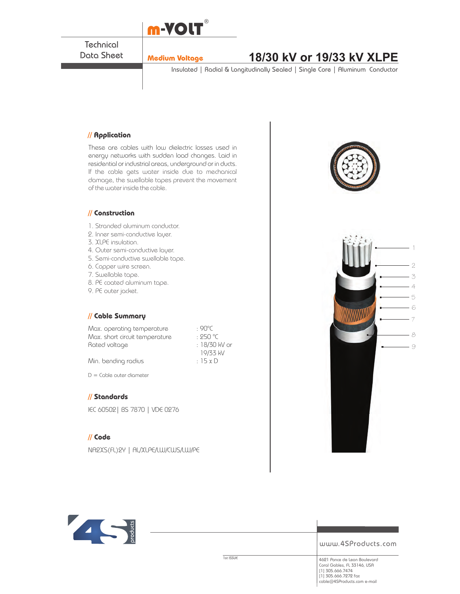

**Technical** Data Sheet

# **Medium Voltage 18/30 kV or 19/33 kV XLPE**

Insulated | Radial & Longitudinally Sealed | Single Core | Aluminum Conductor

#### **// Application**

These are cables with low dielectric losses used in energy networks with sudden load changes. Laid in residential or industrial areas, underground or in ducts. If the cable gets water inside due to mechanical damage, the swellable tapes prevent the movement of the water inside the cable.



- 1. Stranded aluminum conductor.
- 2. Inner semi-conductive layer.
- 3. XLPE insulation.
- 4. Outer semi-conductive layer.
- 5. Semi-conductive swellable tape.
- 6. Copper wire screen.
- 7. Swellable tape.
- 8. PE coated aluminum tape.
- 9. PE outer jacket.

### **// Cable Summary**

Max. operating temperature : 90°C Max. short circuit temperature : 250 °C Rated voltage in the set of the 18/30 kV or

 19/33 kV Min. bending radius  $\cdot$  15 x D

 $D =$  Cable outer diameter

### **// Standards**

IEC 60502| BS 7870 | VDE 0276

#### **// Code**

NA2XS(FL)2Y | AL/XLPE/LW/CWS/LW/PE







www.4SProducts.com